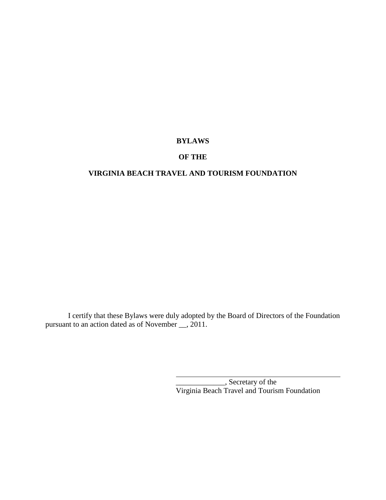# **BYLAWS**

# **OF THE**

# **VIRGINIA BEACH TRAVEL AND TOURISM FOUNDATION**

I certify that these Bylaws were duly adopted by the Board of Directors of the Foundation pursuant to an action dated as of November \_\_, 2011.

> \_\_\_\_\_\_\_\_\_\_\_\_\_, Secretary of the Virginia Beach Travel and Tourism Foundation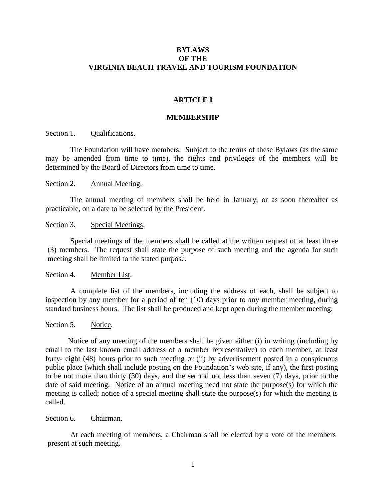## **BYLAWS OF THE VIRGINIA BEACH TRAVEL AND TOURISM FOUNDATION**

#### **ARTICLE I**

### **MEMBERSHIP**

Section 1. Qualifications.

The Foundation will have members. Subject to the terms of these Bylaws (as the same may be amended from time to time), the rights and privileges of the members will be determined by the Board of Directors from time to time.

#### Section 2. Annual Meeting.

The annual meeting of members shall be held in January, or as soon thereafter as practicable, on a date to be selected by the President.

#### Section 3. Special Meetings.

Special meetings of the members shall be called at the written request of at least three (3) members. The request shall state the purpose of such meeting and the agenda for such meeting shall be limited to the stated purpose.

#### Section 4. Member List.

A complete list of the members, including the address of each, shall be subject to inspection by any member for a period of ten (10) days prior to any member meeting, during standard business hours. The list shall be produced and kept open during the member meeting.

## Section 5. Notice.

Notice of any meeting of the members shall be given either (i) in writing (including by email to the last known email address of a member representative) to each member, at least forty- eight (48) hours prior to such meeting or (ii) by advertisement posted in a conspicuous public place (which shall include posting on the Foundation's web site, if any), the first posting to be not more than thirty (30) days, and the second not less than seven (7) days, prior to the date of said meeting. Notice of an annual meeting need not state the purpose(s) for which the meeting is called; notice of a special meeting shall state the purpose(s) for which the meeting is called.

## Section 6. Chairman.

At each meeting of members, a Chairman shall be elected by a vote of the members present at such meeting.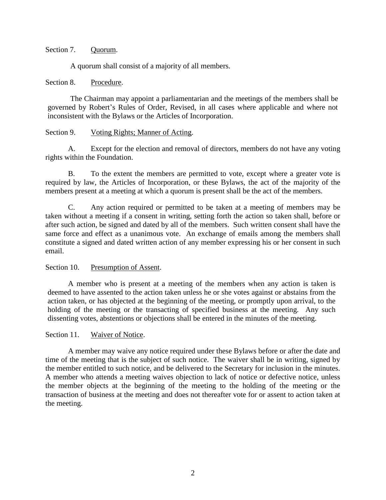## Section 7. Ouorum.

A quorum shall consist of a majority of all members.

# Section 8. Procedure.

The Chairman may appoint a parliamentarian and the meetings of the members shall be governed by Robert's Rules of Order, Revised, in all cases where applicable and where not inconsistent with the Bylaws or the Articles of Incorporation.

# Section 9. Voting Rights; Manner of Acting.

A. Except for the election and removal of directors, members do not have any voting rights within the Foundation.

B. To the extent the members are permitted to vote, except where a greater vote is required by law, the Articles of Incorporation, or these Bylaws, the act of the majority of the members present at a meeting at which a quorum is present shall be the act of the members.

C. Any action required or permitted to be taken at a meeting of members may be taken without a meeting if a consent in writing, setting forth the action so taken shall, before or after such action, be signed and dated by all of the members. Such written consent shall have the same force and effect as a unanimous vote. An exchange of emails among the members shall constitute a signed and dated written action of any member expressing his or her consent in such email.

# Section 10. Presumption of Assent.

A member who is present at a meeting of the members when any action is taken is deemed to have assented to the action taken unless he or she votes against or abstains from the action taken, or has objected at the beginning of the meeting, or promptly upon arrival, to the holding of the meeting or the transacting of specified business at the meeting. Any such dissenting votes, abstentions or objections shall be entered in the minutes of the meeting.

# Section 11. Waiver of Notice.

A member may waive any notice required under these Bylaws before or after the date and time of the meeting that is the subject of such notice. The waiver shall be in writing, signed by the member entitled to such notice, and be delivered to the Secretary for inclusion in the minutes. A member who attends a meeting waives objection to lack of notice or defective notice, unless the member objects at the beginning of the meeting to the holding of the meeting or the transaction of business at the meeting and does not thereafter vote for or assent to action taken at the meeting.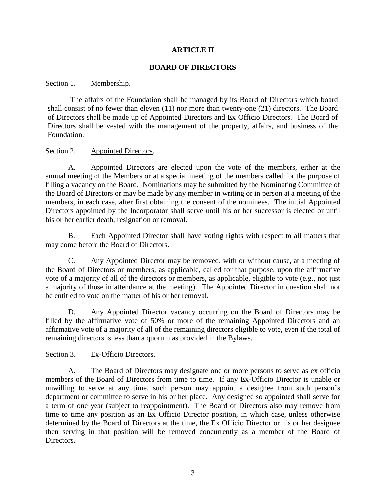# **ARTICLE II**

## **BOARD OF DIRECTORS**

## Section 1. Membership.

The affairs of the Foundation shall be managed by its Board of Directors which board shall consist of no fewer than eleven (11) nor more than twenty-one (21) directors. The Board of Directors shall be made up of Appointed Directors and Ex Officio Directors. The Board of Directors shall be vested with the management of the property, affairs, and business of the Foundation.

# Section 2. Appointed Directors.

A. Appointed Directors are elected upon the vote of the members, either at the annual meeting of the Members or at a special meeting of the members called for the purpose of filling a vacancy on the Board. Nominations may be submitted by the Nominating Committee of the Board of Directors or may be made by any member in writing or in person at a meeting of the members, in each case, after first obtaining the consent of the nominees. The initial Appointed Directors appointed by the Incorporator shall serve until his or her successor is elected or until his or her earlier death, resignation or removal.

B. Each Appointed Director shall have voting rights with respect to all matters that may come before the Board of Directors.

C. Any Appointed Director may be removed, with or without cause, at a meeting of the Board of Directors or members, as applicable, called for that purpose, upon the affirmative vote of a majority of all of the directors or members, as applicable, eligible to vote (e.g., not just a majority of those in attendance at the meeting). The Appointed Director in question shall not be entitled to vote on the matter of his or her removal.

D. Any Appointed Director vacancy occurring on the Board of Directors may be filled by the affirmative vote of 50% or more of the remaining Appointed Directors and an affirmative vote of a majority of all of the remaining directors eligible to vote, even if the total of remaining directors is less than a quorum as provided in the Bylaws.

# Section 3. Ex-Officio Directors.

A. The Board of Directors may designate one or more persons to serve as ex officio members of the Board of Directors from time to time. If any Ex-Officio Director is unable or unwilling to serve at any time, such person may appoint a designee from such person's department or committee to serve in his or her place. Any designee so appointed shall serve for a term of one year (subject to reappointment). The Board of Directors also may remove from time to time any position as an Ex Officio Director position, in which case, unless otherwise determined by the Board of Directors at the time, the Ex Officio Director or his or her designee then serving in that position will be removed concurrently as a member of the Board of Directors.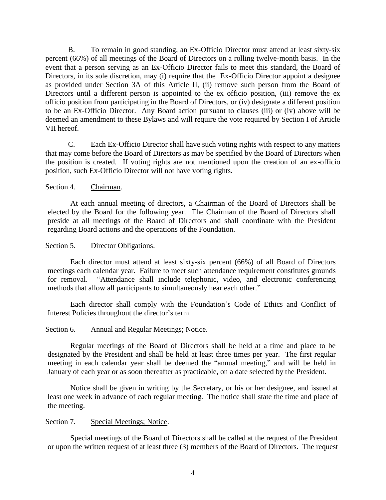B. To remain in good standing, an Ex-Officio Director must attend at least sixty-six percent (66%) of all meetings of the Board of Directors on a rolling twelve-month basis. In the event that a person serving as an Ex-Officio Director fails to meet this standard, the Board of Directors, in its sole discretion, may (i) require that the Ex-Officio Director appoint a designee as provided under Section 3A of this Article II, (ii) remove such person from the Board of Directors until a different person is appointed to the ex officio position, (iii) remove the ex officio position from participating in the Board of Directors, or (iv) designate a different position to be an Ex-Officio Director. Any Board action pursuant to clauses (iii) or (iv) above will be deemed an amendment to these Bylaws and will require the vote required by Section I of Article VII hereof.

C. Each Ex-Officio Director shall have such voting rights with respect to any matters that may come before the Board of Directors as may be specified by the Board of Directors when the position is created. If voting rights are not mentioned upon the creation of an ex-officio position, such Ex-Officio Director will not have voting rights.

# Section 4. Chairman.

At each annual meeting of directors, a Chairman of the Board of Directors shall be elected by the Board for the following year. The Chairman of the Board of Directors shall preside at all meetings of the Board of Directors and shall coordinate with the President regarding Board actions and the operations of the Foundation.

# Section 5. Director Obligations.

Each director must attend at least sixty-six percent (66%) of all Board of Directors meetings each calendar year. Failure to meet such attendance requirement constitutes grounds for removal. "Attendance shall include telephonic, video, and electronic conferencing methods that allow all participants to simultaneously hear each other."

Each director shall comply with the Foundation's Code of Ethics and Conflict of Interest Policies throughout the director's term.

# Section 6. Annual and Regular Meetings; Notice.

Regular meetings of the Board of Directors shall be held at a time and place to be designated by the President and shall be held at least three times per year. The first regular meeting in each calendar year shall be deemed the "annual meeting," and will be held in January of each year or as soon thereafter as practicable, on a date selected by the President.

Notice shall be given in writing by the Secretary, or his or her designee, and issued at least one week in advance of each regular meeting. The notice shall state the time and place of the meeting.

# Section 7. Special Meetings; Notice.

Special meetings of the Board of Directors shall be called at the request of the President or upon the written request of at least three (3) members of the Board of Directors. The request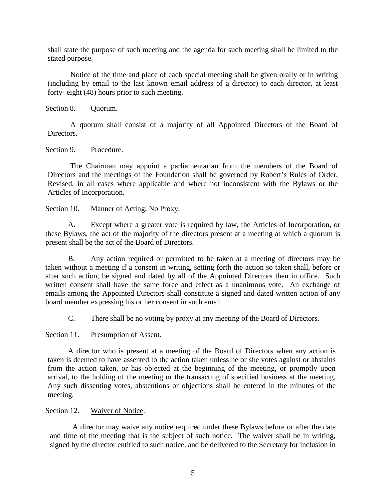shall state the purpose of such meeting and the agenda for such meeting shall be limited to the stated purpose.

Notice of the time and place of each special meeting shall be given orally or in writing (including by email to the last known email address of a director) to each director, at least forty- eight (48) hours prior to such meeting.

# Section 8. Ouorum.

A quorum shall consist of a majority of all Appointed Directors of the Board of Directors.

# Section 9. Procedure.

The Chairman may appoint a parliamentarian from the members of the Board of Directors and the meetings of the Foundation shall be governed by Robert's Rules of Order, Revised, in all cases where applicable and where not inconsistent with the Bylaws or the Articles of Incorporation.

# Section 10. Manner of Acting; No Proxy.

A. Except where a greater vote is required by law, the Articles of Incorporation, or these Bylaws, the act of the majority of the directors present at a meeting at which a quorum is present shall be the act of the Board of Directors.

B. Any action required or permitted to be taken at a meeting of directors may be taken without a meeting if a consent in writing, setting forth the action so taken shall, before or after such action, be signed and dated by all of the Appointed Directors then in office. Such written consent shall have the same force and effect as a unanimous vote. An exchange of emails among the Appointed Directors shall constitute a signed and dated written action of any board member expressing his or her consent in such email.

C. There shall be no voting by proxy at any meeting of the Board of Directors.

# Section 11. Presumption of Assent.

A director who is present at a meeting of the Board of Directors when any action is taken is deemed to have assented to the action taken unless he or she votes against or abstains from the action taken, or has objected at the beginning of the meeting, or promptly upon arrival, to the holding of the meeting or the transacting of specified business at the meeting. Any such dissenting votes, abstentions or objections shall be entered in the minutes of the meeting.

# Section 12. Waiver of Notice.

A director may waive any notice required under these Bylaws before or after the date and time of the meeting that is the subject of such notice. The waiver shall be in writing, signed by the director entitled to such notice, and be delivered to the Secretary for inclusion in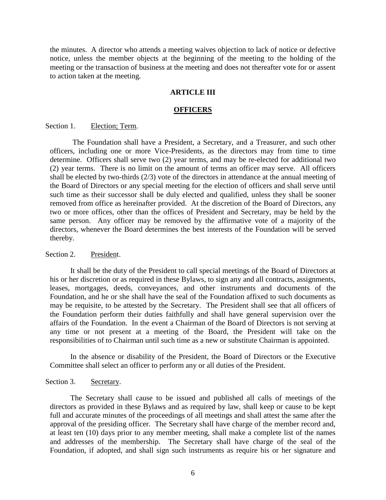the minutes. A director who attends a meeting waives objection to lack of notice or defective notice, unless the member objects at the beginning of the meeting to the holding of the meeting or the transaction of business at the meeting and does not thereafter vote for or assent to action taken at the meeting.

### **ARTICLE III**

#### **OFFICERS**

#### Section 1. Election; Term.

The Foundation shall have a President, a Secretary, and a Treasurer, and such other officers, including one or more Vice-Presidents, as the directors may from time to time determine. Officers shall serve two (2) year terms, and may be re-elected for additional two (2) year terms. There is no limit on the amount of terms an officer may serve. All officers shall be elected by two-thirds (2/3) vote of the directors in attendance at the annual meeting of the Board of Directors or any special meeting for the election of officers and shall serve until such time as their successor shall be duly elected and qualified, unless they shall be sooner removed from office as hereinafter provided. At the discretion of the Board of Directors, any two or more offices, other than the offices of President and Secretary, may be held by the same person. Any officer may be removed by the affirmative vote of a majority of the directors, whenever the Board determines the best interests of the Foundation will be served thereby.

## Section 2. President.

It shall be the duty of the President to call special meetings of the Board of Directors at his or her discretion or as required in these Bylaws, to sign any and all contracts, assignments, leases, mortgages, deeds, conveyances, and other instruments and documents of the Foundation, and he or she shall have the seal of the Foundation affixed to such documents as may be requisite, to be attested by the Secretary. The President shall see that all officers of the Foundation perform their duties faithfully and shall have general supervision over the affairs of the Foundation. In the event a Chairman of the Board of Directors is not serving at any time or not present at a meeting of the Board, the President will take on the responsibilities of to Chairman until such time as a new or substitute Chairman is appointed.

In the absence or disability of the President, the Board of Directors or the Executive Committee shall select an officer to perform any or all duties of the President.

### Section 3. Secretary.

The Secretary shall cause to be issued and published all calls of meetings of the directors as provided in these Bylaws and as required by law, shall keep or cause to be kept full and accurate minutes of the proceedings of all meetings and shall attest the same after the approval of the presiding officer. The Secretary shall have charge of the member record and, at least ten (10) days prior to any member meeting, shall make a complete list of the names and addresses of the membership. The Secretary shall have charge of the seal of the Foundation, if adopted, and shall sign such instruments as require his or her signature and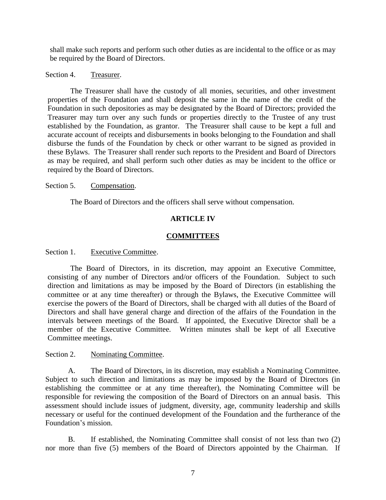shall make such reports and perform such other duties as are incidental to the office or as may be required by the Board of Directors.

# Section 4. Treasurer.

The Treasurer shall have the custody of all monies, securities, and other investment properties of the Foundation and shall deposit the same in the name of the credit of the Foundation in such depositories as may be designated by the Board of Directors; provided the Treasurer may turn over any such funds or properties directly to the Trustee of any trust established by the Foundation, as grantor. The Treasurer shall cause to be kept a full and accurate account of receipts and disbursements in books belonging to the Foundation and shall disburse the funds of the Foundation by check or other warrant to be signed as provided in these Bylaws. The Treasurer shall render such reports to the President and Board of Directors as may be required, and shall perform such other duties as may be incident to the office or required by the Board of Directors.

# Section 5. Compensation.

The Board of Directors and the officers shall serve without compensation.

# **ARTICLE IV**

# **COMMITTEES**

Section 1. Executive Committee.

The Board of Directors, in its discretion, may appoint an Executive Committee, consisting of any number of Directors and/or officers of the Foundation. Subject to such direction and limitations as may be imposed by the Board of Directors (in establishing the committee or at any time thereafter) or through the Bylaws, the Executive Committee will exercise the powers of the Board of Directors, shall be charged with all duties of the Board of Directors and shall have general charge and direction of the affairs of the Foundation in the intervals between meetings of the Board. If appointed, the Executive Director shall be a member of the Executive Committee. Written minutes shall be kept of all Executive Committee meetings.

# Section 2. Nominating Committee.

A. The Board of Directors, in its discretion, may establish a Nominating Committee. Subject to such direction and limitations as may be imposed by the Board of Directors (in establishing the committee or at any time thereafter), the Nominating Committee will be responsible for reviewing the composition of the Board of Directors on an annual basis. This assessment should include issues of judgment, diversity, age, community leadership and skills necessary or useful for the continued development of the Foundation and the furtherance of the Foundation's mission.

B. If established, the Nominating Committee shall consist of not less than two (2) nor more than five (5) members of the Board of Directors appointed by the Chairman. If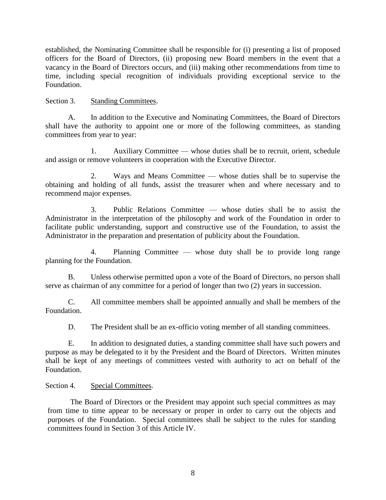established, the Nominating Committee shall be responsible for (i) presenting a list of proposed officers for the Board of Directors, (ii) proposing new Board members in the event that a vacancy in the Board of Directors occurs, and (iii) making other recommendations from time to time, including special recognition of individuals providing exceptional service to the Foundation.

# Section 3. Standing Committees.

A. In addition to the Executive and Nominating Committees, the Board of Directors shall have the authority to appoint one or more of the following committees, as standing committees from year to year:

1. Auxiliary Committee — whose duties shall be to recruit, orient, schedule and assign or remove volunteers in cooperation with the Executive Director.

2. Ways and Means Committee — whose duties shall be to supervise the obtaining and holding of all funds, assist the treasurer when and where necessary and to recommend major expenses.

3. Public Relations Committee — whose duties shall be to assist the Administrator in the interpretation of the philosophy and work of the Foundation in order to facilitate public understanding, support and constructive use of the Foundation, to assist the Administrator in the preparation and presentation of publicity about the Foundation.

4. Planning Committee — whose duty shall be to provide long range planning for the Foundation.

B. Unless otherwise permitted upon a vote of the Board of Directors, no person shall serve as chairman of any committee for a period of longer than two (2) years in succession.

C. All committee members shall be appointed annually and shall be members of the Foundation.

D. The President shall be an ex-officio voting member of all standing committees.

E. In addition to designated duties, a standing committee shall have such powers and purpose as may be delegated to it by the President and the Board of Directors. Written minutes shall be kept of any meetings of committees vested with authority to act on behalf of the Foundation.

# Section 4. Special Committees.

The Board of Directors or the President may appoint such special committees as may from time to time appear to be necessary or proper in order to carry out the objects and purposes of the Foundation. Special committees shall be subject to the rules for standing committees found in Section 3 of this Article IV.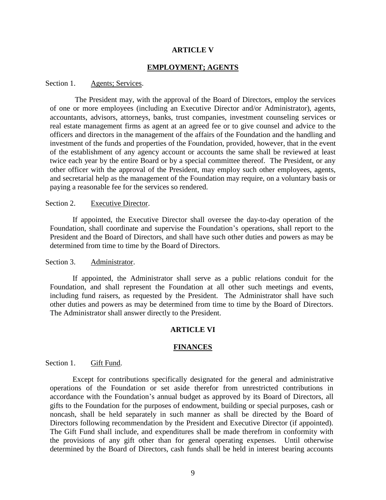## **ARTICLE V**

## **EMPLOYMENT; AGENTS**

### Section 1. Agents; Services.

The President may, with the approval of the Board of Directors, employ the services of one or more employees (including an Executive Director and/or Administrator), agents, accountants, advisors, attorneys, banks, trust companies, investment counseling services or real estate management firms as agent at an agreed fee or to give counsel and advice to the officers and directors in the management of the affairs of the Foundation and the handling and investment of the funds and properties of the Foundation, provided, however, that in the event of the establishment of any agency account or accounts the same shall be reviewed at least twice each year by the entire Board or by a special committee thereof. The President, or any other officer with the approval of the President, may employ such other employees, agents, and secretarial help as the management of the Foundation may require, on a voluntary basis or paying a reasonable fee for the services so rendered.

#### Section 2. Executive Director.

If appointed, the Executive Director shall oversee the day-to-day operation of the Foundation, shall coordinate and supervise the Foundation's operations, shall report to the President and the Board of Directors, and shall have such other duties and powers as may be determined from time to time by the Board of Directors.

## Section 3. Administrator.

If appointed, the Administrator shall serve as a public relations conduit for the Foundation, and shall represent the Foundation at all other such meetings and events, including fund raisers, as requested by the President. The Administrator shall have such other duties and powers as may be determined from time to time by the Board of Directors. The Administrator shall answer directly to the President.

#### **ARTICLE VI**

### **FINANCES**

## Section 1. Gift Fund.

Except for contributions specifically designated for the general and administrative operations of the Foundation or set aside therefor from unrestricted contributions in accordance with the Foundation's annual budget as approved by its Board of Directors, all gifts to the Foundation for the purposes of endowment, building or special purposes, cash or noncash, shall be held separately in such manner as shall be directed by the Board of Directors following recommendation by the President and Executive Director (if appointed). The Gift Fund shall include, and expenditures shall be made therefrom in conformity with the provisions of any gift other than for general operating expenses. Until otherwise determined by the Board of Directors, cash funds shall be held in interest bearing accounts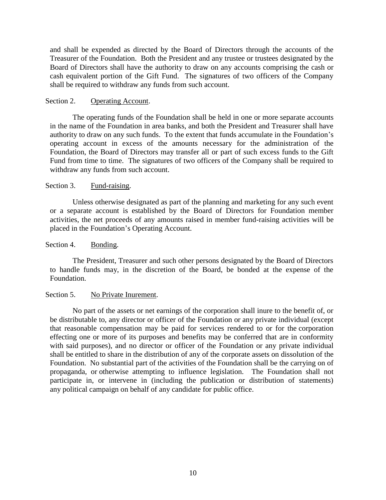and shall be expended as directed by the Board of Directors through the accounts of the Treasurer of the Foundation. Both the President and any trustee or trustees designated by the Board of Directors shall have the authority to draw on any accounts comprising the cash or cash equivalent portion of the Gift Fund. The signatures of two officers of the Company shall be required to withdraw any funds from such account.

## Section 2. Operating Account.

The operating funds of the Foundation shall be held in one or more separate accounts in the name of the Foundation in area banks, and both the President and Treasurer shall have authority to draw on any such funds. To the extent that funds accumulate in the Foundation's operating account in excess of the amounts necessary for the administration of the Foundation, the Board of Directors may transfer all or part of such excess funds to the Gift Fund from time to time. The signatures of two officers of the Company shall be required to withdraw any funds from such account.

## Section 3. Fund-raising.

Unless otherwise designated as part of the planning and marketing for any such event or a separate account is established by the Board of Directors for Foundation member activities, the net proceeds of any amounts raised in member fund-raising activities will be placed in the Foundation's Operating Account.

## Section 4. Bonding.

The President, Treasurer and such other persons designated by the Board of Directors to handle funds may, in the discretion of the Board, be bonded at the expense of the Foundation.

## Section 5. No Private Inurement.

No part of the assets or net earnings of the corporation shall inure to the benefit of, or be distributable to, any director or officer of the Foundation or any private individual (except that reasonable compensation may be paid for services rendered to or for the corporation effecting one or more of its purposes and benefits may be conferred that are in conformity with said purposes), and no director or officer of the Foundation or any private individual shall be entitled to share in the distribution of any of the corporate assets on dissolution of the Foundation. No substantial part of the activities of the Foundation shall be the carrying on of propaganda, or otherwise attempting to influence legislation. The Foundation shall not participate in, or intervene in (including the publication or distribution of statements) any political campaign on behalf of any candidate for public office.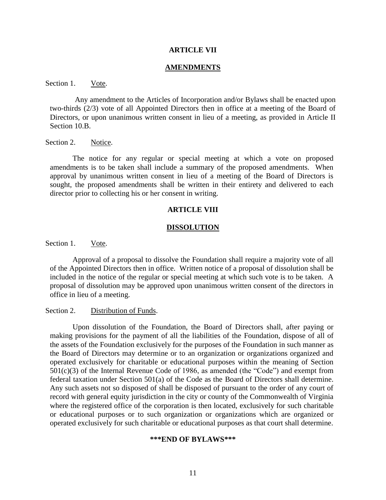#### **ARTICLE VII**

#### **AMENDMENTS**

Section 1. Vote.

Any amendment to the Articles of Incorporation and/or Bylaws shall be enacted upon two-thirds (2/3) vote of all Appointed Directors then in office at a meeting of the Board of Directors, or upon unanimous written consent in lieu of a meeting, as provided in Article II Section 10.B.

Section 2. Notice.

The notice for any regular or special meeting at which a vote on proposed amendments is to be taken shall include a summary of the proposed amendments. When approval by unanimous written consent in lieu of a meeting of the Board of Directors is sought, the proposed amendments shall be written in their entirety and delivered to each director prior to collecting his or her consent in writing.

### **ARTICLE VIII**

#### **DISSOLUTION**

Section 1. Vote.

Approval of a proposal to dissolve the Foundation shall require a majority vote of all of the Appointed Directors then in office. Written notice of a proposal of dissolution shall be included in the notice of the regular or special meeting at which such vote is to be taken. A proposal of dissolution may be approved upon unanimous written consent of the directors in office in lieu of a meeting.

### Section 2. Distribution of Funds.

Upon dissolution of the Foundation, the Board of Directors shall, after paying or making provisions for the payment of all the liabilities of the Foundation, dispose of all of the assets of the Foundation exclusively for the purposes of the Foundation in such manner as the Board of Directors may determine or to an organization or organizations organized and operated exclusively for charitable or educational purposes within the meaning of Section  $501(c)(3)$  of the Internal Revenue Code of 1986, as amended (the "Code") and exempt from federal taxation under Section 501(a) of the Code as the Board of Directors shall determine. Any such assets not so disposed of shall be disposed of pursuant to the order of any court of record with general equity jurisdiction in the city or county of the Commonwealth of Virginia where the registered office of the corporation is then located, exclusively for such charitable or educational purposes or to such organization or organizations which are organized or operated exclusively for such charitable or educational purposes as that court shall determine.

#### **\*\*\*END OF BYLAWS\*\*\***